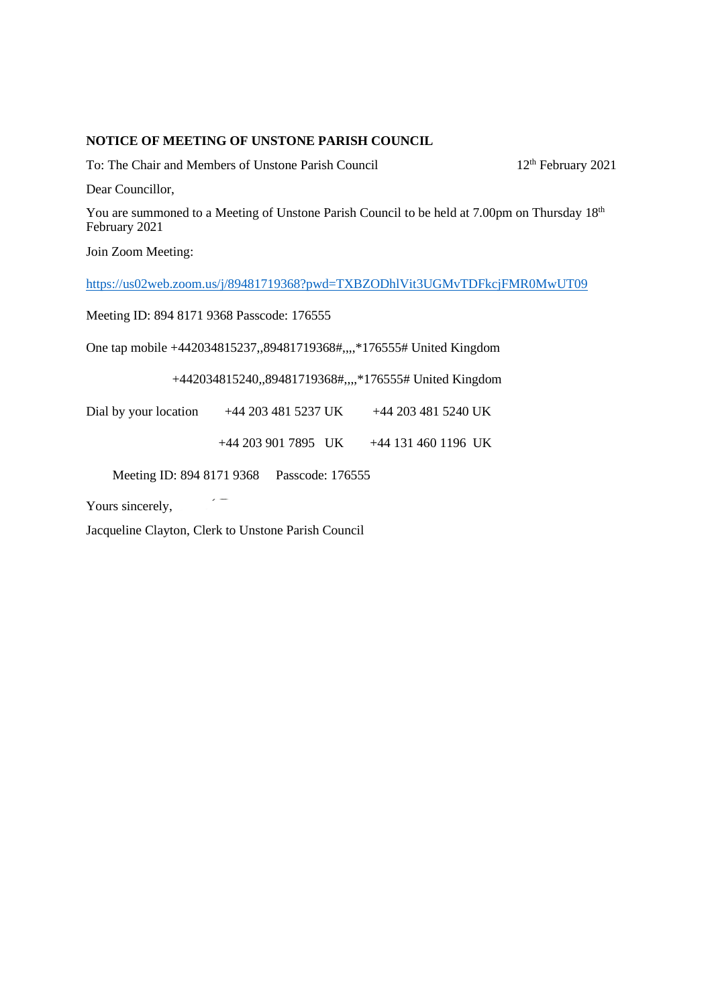## **NOTICE OF MEETING OF UNSTONE PARISH COUNCIL**

To: The Chair and Members of Unstone Parish Council 12<sup>th</sup> February 2021

Dear Councillor,

You are summoned to a Meeting of Unstone Parish Council to be held at 7.00pm on Thursday 18th February 2021

Join Zoom Meeting:

<https://us02web.zoom.us/j/89481719368?pwd=TXBZODhlVit3UGMvTDFkcjFMR0MwUT09>

Meeting ID: 894 8171 9368 Passcode: 176555

One tap mobile +442034815237,,89481719368#,,,,\*176555# United Kingdom

+442034815240,,89481719368#,,,,\*176555# United Kingdom

Dial by your location +44 203 481 5237 UK +44 203 481 5240 UK

+44 203 901 7895 UK +44 131 460 1196 UK

Meeting ID: 894 8171 9368 Passcode: 176555

Yours sincerely,

Jacqueline Clayton, Clerk to Unstone Parish Council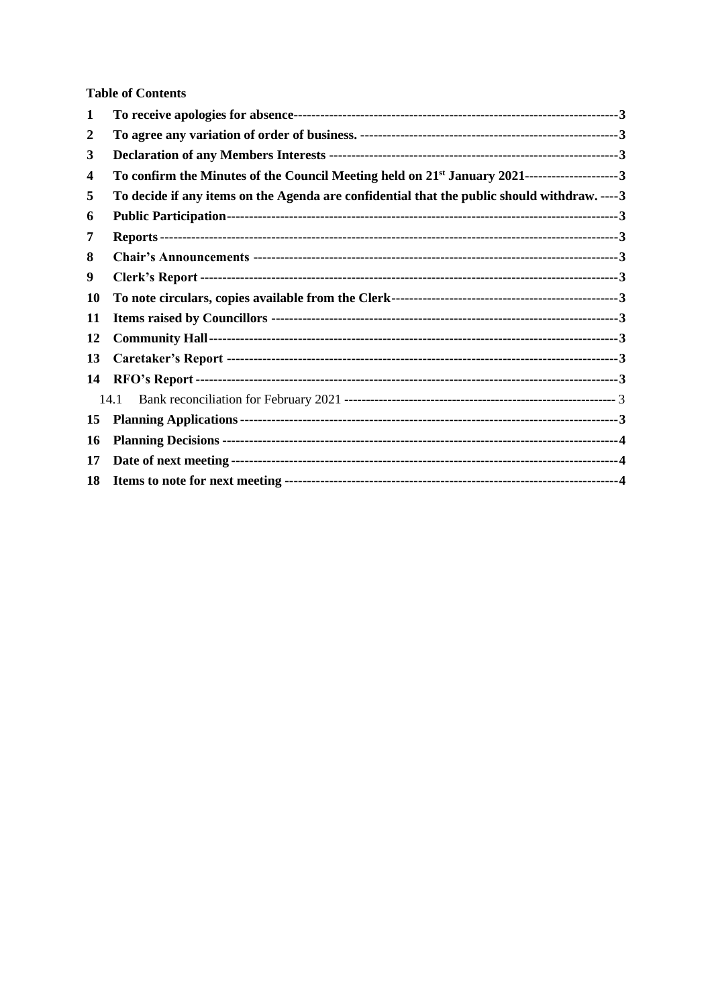**Table of Contents** 

| 1  |                                                                                                            |
|----|------------------------------------------------------------------------------------------------------------|
| 2  |                                                                                                            |
| 3  |                                                                                                            |
| 4  | To confirm the Minutes of the Council Meeting held on 21 <sup>st</sup> January 2021----------------------3 |
| 5  | To decide if any items on the Agenda are confidential that the public should withdraw. ----3               |
| 6  |                                                                                                            |
| 7  |                                                                                                            |
| 8  |                                                                                                            |
| 9  |                                                                                                            |
| 10 |                                                                                                            |
| 11 |                                                                                                            |
| 12 |                                                                                                            |
| 13 |                                                                                                            |
| 14 |                                                                                                            |
|    | 14.1                                                                                                       |
| 15 |                                                                                                            |
| 16 |                                                                                                            |
| 17 |                                                                                                            |
| 18 |                                                                                                            |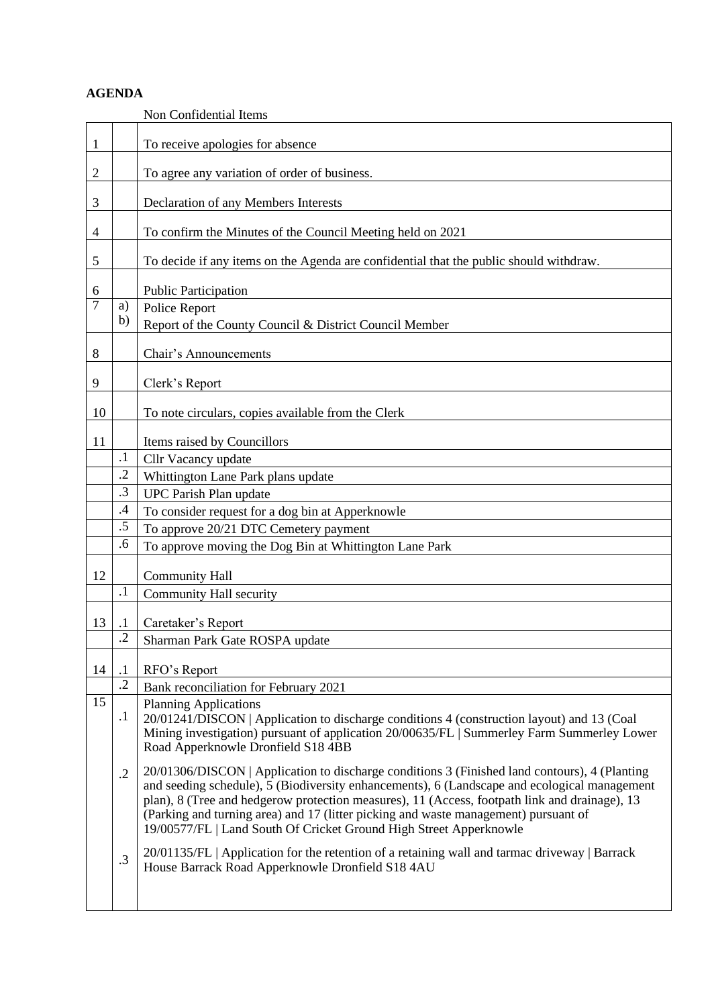## **AGENDA**

<span id="page-2-12"></span><span id="page-2-11"></span><span id="page-2-10"></span><span id="page-2-9"></span><span id="page-2-8"></span><span id="page-2-7"></span><span id="page-2-6"></span><span id="page-2-5"></span><span id="page-2-4"></span><span id="page-2-3"></span><span id="page-2-2"></span><span id="page-2-1"></span><span id="page-2-0"></span>

|                |                 | Non Confidential Items                                                                                                                                                                                                                                                                                                                                                                                                                                      |
|----------------|-----------------|-------------------------------------------------------------------------------------------------------------------------------------------------------------------------------------------------------------------------------------------------------------------------------------------------------------------------------------------------------------------------------------------------------------------------------------------------------------|
| $\mathbf{1}$   |                 | To receive apologies for absence                                                                                                                                                                                                                                                                                                                                                                                                                            |
| 2              |                 | To agree any variation of order of business.                                                                                                                                                                                                                                                                                                                                                                                                                |
| 3              |                 | Declaration of any Members Interests                                                                                                                                                                                                                                                                                                                                                                                                                        |
| $\overline{4}$ |                 | To confirm the Minutes of the Council Meeting held on 2021                                                                                                                                                                                                                                                                                                                                                                                                  |
| 5              |                 | To decide if any items on the Agenda are confidential that the public should withdraw.                                                                                                                                                                                                                                                                                                                                                                      |
| 6              |                 | <b>Public Participation</b>                                                                                                                                                                                                                                                                                                                                                                                                                                 |
| 7              | a)              | Police Report                                                                                                                                                                                                                                                                                                                                                                                                                                               |
|                | b)              | Report of the County Council & District Council Member                                                                                                                                                                                                                                                                                                                                                                                                      |
| 8              |                 | Chair's Announcements                                                                                                                                                                                                                                                                                                                                                                                                                                       |
|                |                 |                                                                                                                                                                                                                                                                                                                                                                                                                                                             |
| 9              |                 | Clerk's Report                                                                                                                                                                                                                                                                                                                                                                                                                                              |
| 10             |                 | To note circulars, copies available from the Clerk                                                                                                                                                                                                                                                                                                                                                                                                          |
|                |                 |                                                                                                                                                                                                                                                                                                                                                                                                                                                             |
| 11             |                 | Items raised by Councillors                                                                                                                                                                                                                                                                                                                                                                                                                                 |
|                | $\cdot$ 1       | Cllr Vacancy update                                                                                                                                                                                                                                                                                                                                                                                                                                         |
|                | $\cdot$ .2      | Whittington Lane Park plans update                                                                                                                                                                                                                                                                                                                                                                                                                          |
|                | $\cdot$ 3       | UPC Parish Plan update                                                                                                                                                                                                                                                                                                                                                                                                                                      |
|                | $.4\,$          | To consider request for a dog bin at Apperknowle                                                                                                                                                                                                                                                                                                                                                                                                            |
|                | .5              | To approve 20/21 DTC Cemetery payment                                                                                                                                                                                                                                                                                                                                                                                                                       |
|                | .6              | To approve moving the Dog Bin at Whittington Lane Park                                                                                                                                                                                                                                                                                                                                                                                                      |
| 12             |                 | <b>Community Hall</b>                                                                                                                                                                                                                                                                                                                                                                                                                                       |
|                | $\cdot$ 1       | Community Hall security                                                                                                                                                                                                                                                                                                                                                                                                                                     |
| 13             | $\cdot$         | Caretaker's Report                                                                                                                                                                                                                                                                                                                                                                                                                                          |
|                | $\overline{.2}$ | Sharman Park Gate ROSPA update                                                                                                                                                                                                                                                                                                                                                                                                                              |
|                |                 |                                                                                                                                                                                                                                                                                                                                                                                                                                                             |
| 14             | $\cdot$         | RFO's Report                                                                                                                                                                                                                                                                                                                                                                                                                                                |
|                | $\overline{.2}$ | Bank reconciliation for February 2021                                                                                                                                                                                                                                                                                                                                                                                                                       |
| 15             | $\cdot$         | <b>Planning Applications</b><br>20/01241/DISCON   Application to discharge conditions 4 (construction layout) and 13 (Coal<br>Mining investigation) pursuant of application 20/00635/FL   Summerley Farm Summerley Lower<br>Road Apperknowle Dronfield S18 4BB                                                                                                                                                                                              |
|                | $\cdot$ .2      | 20/01306/DISCON   Application to discharge conditions 3 (Finished land contours), 4 (Planting<br>and seeding schedule), 5 (Biodiversity enhancements), 6 (Landscape and ecological management<br>plan), 8 (Tree and hedgerow protection measures), 11 (Access, footpath link and drainage), 13<br>(Parking and turning area) and 17 (litter picking and waste management) pursuant of<br>19/00577/FL   Land South Of Cricket Ground High Street Apperknowle |
|                | .3              | 20/01135/FL   Application for the retention of a retaining wall and tarmac driveway   Barrack<br>House Barrack Road Apperknowle Dronfield S18 4AU                                                                                                                                                                                                                                                                                                           |
|                |                 |                                                                                                                                                                                                                                                                                                                                                                                                                                                             |